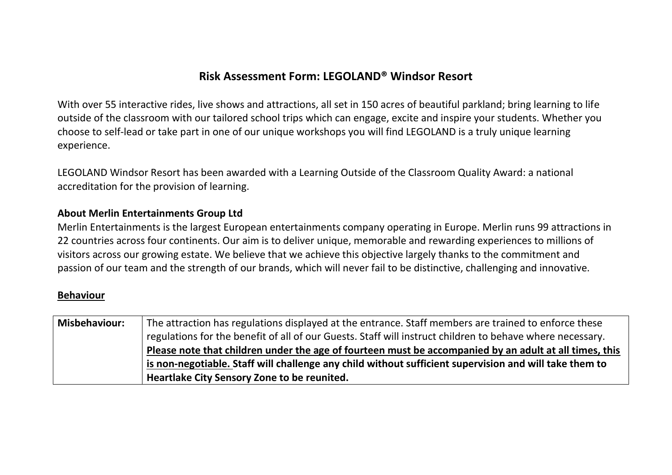### **Risk Assessment Form: LEGOLAND® Windsor Resort**

With over 55 interactive rides, live shows and attractions, all set in 150 acres of beautiful parkland; bring learning to life outside of the classroom with our tailored school trips which can engage, excite and inspire your students. Whether you choose to self-lead or take part in one of our unique workshops you will find LEGOLAND is a truly unique learning experience.

LEGOLAND Windsor Resort has been awarded with a Learning Outside of the Classroom Quality Award: a national accreditation for the provision of learning.

### **About Merlin Entertainments Group Ltd**

Merlin Entertainments is the largest European entertainments company operating in Europe. Merlin runs 99 attractions in 22 countries across four continents. Our aim is to deliver unique, memorable and rewarding experiences to millions of visitors across our growing estate. We believe that we achieve this objective largely thanks to the commitment and passion of our team and the strength of our brands, which will never fail to be distinctive, challenging and innovative.

#### **Behaviour**

| <b>Misbehaviour:</b> | The attraction has regulations displayed at the entrance. Staff members are trained to enforce these      |
|----------------------|-----------------------------------------------------------------------------------------------------------|
|                      | regulations for the benefit of all of our Guests. Staff will instruct children to behave where necessary. |
|                      | Please note that children under the age of fourteen must be accompanied by an adult at all times, this    |
|                      | is non-negotiable. Staff will challenge any child without sufficient supervision and will take them to    |
|                      | Heartlake City Sensory Zone to be reunited.                                                               |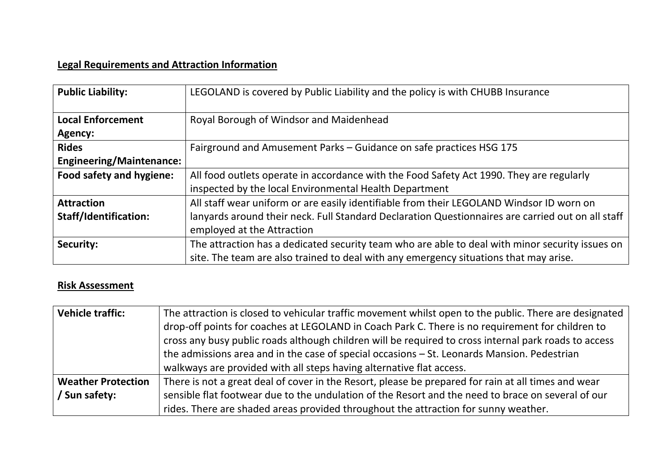## **Legal Requirements and Attraction Information**

| <b>Public Liability:</b>        | LEGOLAND is covered by Public Liability and the policy is with CHUBB Insurance                    |
|---------------------------------|---------------------------------------------------------------------------------------------------|
| <b>Local Enforcement</b>        | Royal Borough of Windsor and Maidenhead                                                           |
| Agency:                         |                                                                                                   |
| <b>Rides</b>                    | Fairground and Amusement Parks - Guidance on safe practices HSG 175                               |
| <b>Engineering/Maintenance:</b> |                                                                                                   |
| Food safety and hygiene:        | All food outlets operate in accordance with the Food Safety Act 1990. They are regularly          |
|                                 | inspected by the local Environmental Health Department                                            |
| <b>Attraction</b>               | All staff wear uniform or are easily identifiable from their LEGOLAND Windsor ID worn on          |
| <b>Staff/Identification:</b>    | lanyards around their neck. Full Standard Declaration Questionnaires are carried out on all staff |
|                                 | employed at the Attraction                                                                        |
| Security:                       | The attraction has a dedicated security team who are able to deal with minor security issues on   |
|                                 | site. The team are also trained to deal with any emergency situations that may arise.             |

# **Risk Assessment**

| <b>Vehicle traffic:</b>   | The attraction is closed to vehicular traffic movement whilst open to the public. There are designated                                                                                                    |
|---------------------------|-----------------------------------------------------------------------------------------------------------------------------------------------------------------------------------------------------------|
|                           | drop-off points for coaches at LEGOLAND in Coach Park C. There is no requirement for children to<br>cross any busy public roads although children will be required to cross internal park roads to access |
|                           | the admissions area and in the case of special occasions $-$ St. Leonards Mansion. Pedestrian<br>walkways are provided with all steps having alternative flat access.                                     |
| <b>Weather Protection</b> | There is not a great deal of cover in the Resort, please be prepared for rain at all times and wear                                                                                                       |
| / Sun safety:             | sensible flat footwear due to the undulation of the Resort and the need to brace on several of our                                                                                                        |
|                           | rides. There are shaded areas provided throughout the attraction for sunny weather.                                                                                                                       |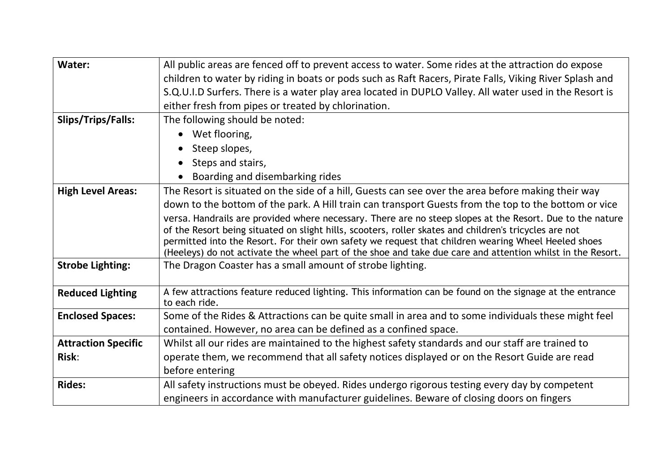| Water:                     | All public areas are fenced off to prevent access to water. Some rides at the attraction do expose                                                                                                                |
|----------------------------|-------------------------------------------------------------------------------------------------------------------------------------------------------------------------------------------------------------------|
|                            | children to water by riding in boats or pods such as Raft Racers, Pirate Falls, Viking River Splash and                                                                                                           |
|                            | S.Q.U.I.D Surfers. There is a water play area located in DUPLO Valley. All water used in the Resort is                                                                                                            |
|                            | either fresh from pipes or treated by chlorination.                                                                                                                                                               |
| Slips/Trips/Falls:         | The following should be noted:                                                                                                                                                                                    |
|                            | Wet flooring,                                                                                                                                                                                                     |
|                            | Steep slopes,                                                                                                                                                                                                     |
|                            | Steps and stairs,<br>$\bullet$                                                                                                                                                                                    |
|                            | Boarding and disembarking rides                                                                                                                                                                                   |
| <b>High Level Areas:</b>   | The Resort is situated on the side of a hill, Guests can see over the area before making their way                                                                                                                |
|                            | down to the bottom of the park. A Hill train can transport Guests from the top to the bottom or vice                                                                                                              |
|                            | versa. Handrails are provided where necessary. There are no steep slopes at the Resort. Due to the nature                                                                                                         |
|                            | of the Resort being situated on slight hills, scooters, roller skates and children's tricycles are not                                                                                                            |
|                            | permitted into the Resort. For their own safety we request that children wearing Wheel Heeled shoes<br>(Heeleys) do not activate the wheel part of the shoe and take due care and attention whilst in the Resort. |
| <b>Strobe Lighting:</b>    | The Dragon Coaster has a small amount of strobe lighting.                                                                                                                                                         |
|                            |                                                                                                                                                                                                                   |
| <b>Reduced Lighting</b>    | A few attractions feature reduced lighting. This information can be found on the signage at the entrance                                                                                                          |
|                            | to each ride.                                                                                                                                                                                                     |
| <b>Enclosed Spaces:</b>    | Some of the Rides & Attractions can be quite small in area and to some individuals these might feel                                                                                                               |
|                            | contained. However, no area can be defined as a confined space.                                                                                                                                                   |
| <b>Attraction Specific</b> | Whilst all our rides are maintained to the highest safety standards and our staff are trained to                                                                                                                  |
| <b>Risk:</b>               | operate them, we recommend that all safety notices displayed or on the Resort Guide are read                                                                                                                      |
|                            | before entering                                                                                                                                                                                                   |
| <b>Rides:</b>              | All safety instructions must be obeyed. Rides undergo rigorous testing every day by competent                                                                                                                     |
|                            | engineers in accordance with manufacturer guidelines. Beware of closing doors on fingers                                                                                                                          |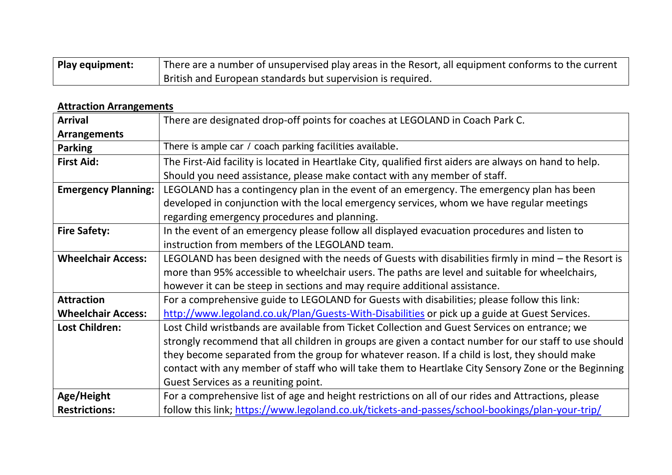| Play equipment: | There are a number of unsupervised play areas in the Resort, all equipment conforms to the current |
|-----------------|----------------------------------------------------------------------------------------------------|
|                 | British and European standards but supervision is required.                                        |

### **Attraction Arrangements**

| <b>Arrival</b>             | There are designated drop-off points for coaches at LEGOLAND in Coach Park C.                           |
|----------------------------|---------------------------------------------------------------------------------------------------------|
| <b>Arrangements</b>        |                                                                                                         |
| <b>Parking</b>             | There is ample car / coach parking facilities available.                                                |
| <b>First Aid:</b>          | The First-Aid facility is located in Heartlake City, qualified first aiders are always on hand to help. |
|                            | Should you need assistance, please make contact with any member of staff.                               |
| <b>Emergency Planning:</b> | LEGOLAND has a contingency plan in the event of an emergency. The emergency plan has been               |
|                            | developed in conjunction with the local emergency services, whom we have regular meetings               |
|                            | regarding emergency procedures and planning.                                                            |
| <b>Fire Safety:</b>        | In the event of an emergency please follow all displayed evacuation procedures and listen to            |
|                            | instruction from members of the LEGOLAND team.                                                          |
| <b>Wheelchair Access:</b>  | LEGOLAND has been designed with the needs of Guests with disabilities firmly in mind - the Resort is    |
|                            | more than 95% accessible to wheelchair users. The paths are level and suitable for wheelchairs,         |
|                            | however it can be steep in sections and may require additional assistance.                              |
| <b>Attraction</b>          | For a comprehensive guide to LEGOLAND for Guests with disabilities; please follow this link:            |
| <b>Wheelchair Access:</b>  | http://www.legoland.co.uk/Plan/Guests-With-Disabilities or pick up a guide at Guest Services.           |
| <b>Lost Children:</b>      | Lost Child wristbands are available from Ticket Collection and Guest Services on entrance; we           |
|                            | strongly recommend that all children in groups are given a contact number for our staff to use should   |
|                            | they become separated from the group for whatever reason. If a child is lost, they should make          |
|                            | contact with any member of staff who will take them to Heartlake City Sensory Zone or the Beginning     |
|                            | Guest Services as a reuniting point.                                                                    |
| Age/Height                 | For a comprehensive list of age and height restrictions on all of our rides and Attractions, please     |
| <b>Restrictions:</b>       | follow this link; https://www.legoland.co.uk/tickets-and-passes/school-bookings/plan-your-trip/         |